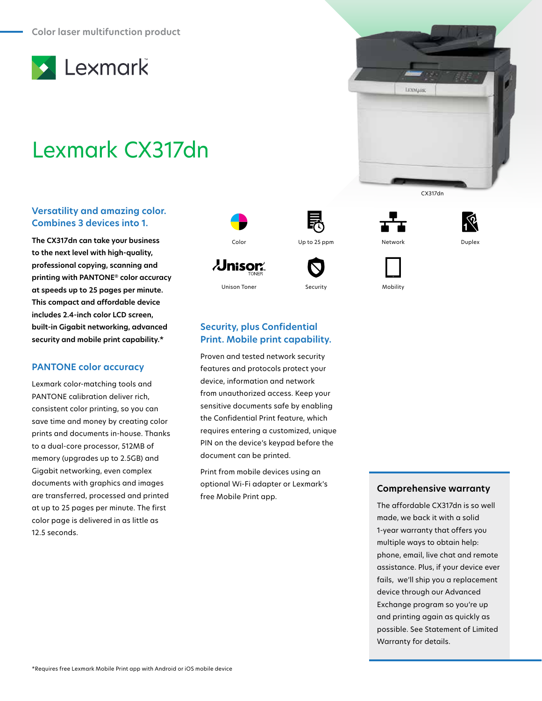

# Lexmark CX317dn

## **Versatility and amazing color. Combines 3 devices into 1.**

**The CX317dn can take your business to the next level with high-quality, professional copying, scanning and printing with PANTONE® color accuracy at speeds up to 25 pages per minute. This compact and affordable device includes 2.4-inch color LCD screen, built-in Gigabit networking, advanced security and mobile print capability.\***

## **PANTONE color accuracy**

Lexmark color-matching tools and PANTONE calibration deliver rich, consistent color printing, so you can save time and money by creating color prints and documents in-house. Thanks to a dual-core processor, 512MB of memory (upgrades up to 2.5GB) and Gigabit networking, even complex documents with graphics and images are transferred, processed and printed at up to 25 pages per minute. The first color page is delivered in as little as 12.5 seconds.



 $\lambda$ Jnisor $\lambda$ 

**Security, plus Confidential Print. Mobile print capability.** Proven and tested network security features and protocols protect your device, information and network from unauthorized access. Keep your sensitive documents safe by enabling the Confidential Print feature, which requires entering a customized, unique PIN on the device's keypad before the

document can be printed.

free Mobile Print app.

Print from mobile devices using an optional Wi-Fi adapter or Lexmark's







CX317dn

LEXMARK

Unison Toner Security Security Mobility

# **Comprehensive warranty**

The affordable CX317dn is so well made, we back it with a solid 1-year warranty that offers you multiple ways to obtain help: phone, email, live chat and remote assistance. Plus, if your device ever fails, we'll ship you a replacement device through our Advanced Exchange program so you're up and printing again as quickly as possible. See Statement of Limited Warranty for details.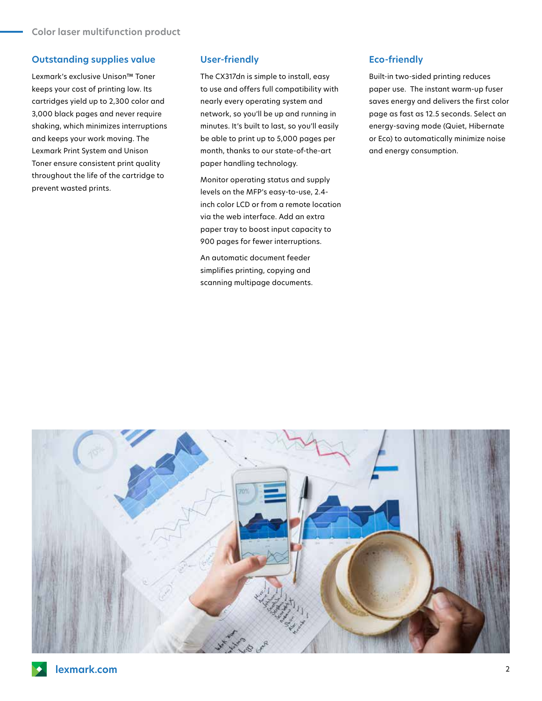## **Outstanding supplies value**

Lexmark's exclusive Unison™ Toner keeps your cost of printing low. Its cartridges yield up to 2,300 color and 3,000 black pages and never require shaking, which minimizes interruptions and keeps your work moving. The Lexmark Print System and Unison Toner ensure consistent print quality throughout the life of the cartridge to prevent wasted prints.

#### **User-friendly**

The CX317dn is simple to install, easy to use and offers full compatibility with nearly every operating system and network, so you'll be up and running in minutes. It's built to last, so you'll easily be able to print up to 5,000 pages per month, thanks to our state-of-the-art paper handling technology.

Monitor operating status and supply levels on the MFP's easy-to-use, 2.4 inch color LCD or from a remote location via the web interface. Add an extra paper tray to boost input capacity to 900 pages for fewer interruptions.

An automatic document feeder simplifies printing, copying and scanning multipage documents.

## **Eco-friendly**

Built-in two-sided printing reduces paper use. The instant warm-up fuser saves energy and delivers the first color page as fast as 12.5 seconds. Select an energy-saving mode (Quiet, Hibernate or Eco) to automatically minimize noise and energy consumption.

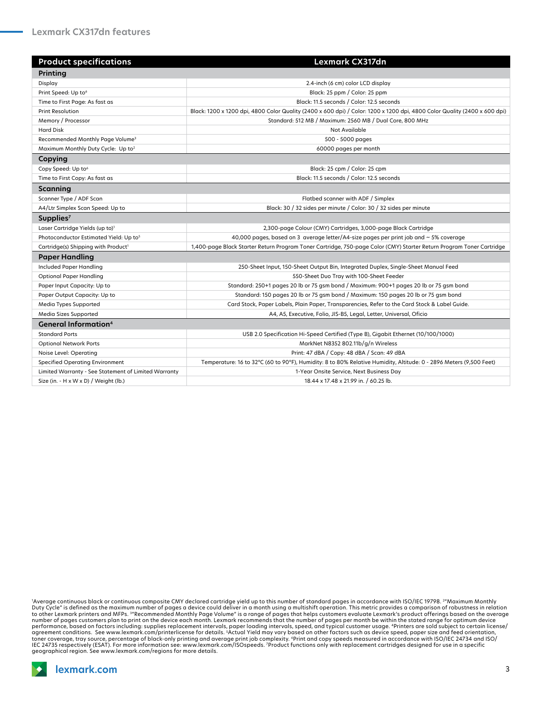| <b>Product specifications</b>                        | <b>Lexmark CX317dn</b>                                                                                                    |
|------------------------------------------------------|---------------------------------------------------------------------------------------------------------------------------|
| Printing                                             |                                                                                                                           |
| Display                                              | 2.4-inch (6 cm) color LCD display                                                                                         |
| Print Speed: Up to <sup>6</sup>                      | Black: 25 ppm / Color: 25 ppm                                                                                             |
| Time to First Page: As fast as                       | Black: 11.5 seconds / Color: 12.5 seconds                                                                                 |
| <b>Print Resolution</b>                              | Black: 1200 x 1200 dpi, 4800 Color Quality (2400 x 600 dpi) / Color: 1200 x 1200 dpi, 4800 Color Quality (2400 x 600 dpi) |
| Memory / Processor                                   | Standard: 512 MB / Maximum: 2560 MB / Dual Core, 800 MHz                                                                  |
| <b>Hard Disk</b>                                     | Not Available                                                                                                             |
| Recommended Monthly Page Volume <sup>3</sup>         | 500 - 5000 pages                                                                                                          |
| Maximum Monthly Duty Cycle: Up to <sup>2</sup>       | 60000 pages per month                                                                                                     |
| Copying                                              |                                                                                                                           |
| Copy Speed: Up to <sup>6</sup>                       | Black: 25 cpm / Color: 25 cpm                                                                                             |
| Time to First Copy: As fast as                       | Black: 11.5 seconds / Color: 12.5 seconds                                                                                 |
| Scanning                                             |                                                                                                                           |
| Scanner Type / ADF Scan                              | Flatbed scanner with ADF / Simplex                                                                                        |
| A4/Ltr Simplex Scan Speed: Up to                     | Black: 30 / 32 sides per minute / Color: 30 / 32 sides per minute                                                         |
| Supplies <sup>7</sup>                                |                                                                                                                           |
| Laser Cartridge Yields (up to) <sup>1</sup>          | 2,300-page Colour (CMY) Cartridges, 3,000-page Black Cartridge                                                            |
| Photoconductor Estimated Yield: Up to <sup>5</sup>   | 40,000 pages, based on 3 average letter/A4-size pages per print job and ~5% coverage                                      |
| Cartridge(s) Shipping with Product <sup>1</sup>      | 1,400-page Black Starter Return Program Toner Cartridge, 750-page Color (CMY) Starter Return Program Toner Cartridge      |
| <b>Paper Handling</b>                                |                                                                                                                           |
| <b>Included Paper Handling</b>                       | 250-Sheet Input, 150-Sheet Output Bin, Integrated Duplex, Single-Sheet Manual Feed                                        |
| <b>Optional Paper Handling</b>                       | 550-Sheet Duo Tray with 100-Sheet Feeder                                                                                  |
| Paper Input Capacity: Up to                          | Standard: 250+1 pages 20 lb or 75 gsm bond / Maximum: 900+1 pages 20 lb or 75 gsm bond                                    |
| Paper Output Capacity: Up to                         | Standard: 150 pages 20 lb or 75 gsm bond / Maximum: 150 pages 20 lb or 75 gsm bond                                        |
| Media Types Supported                                | Card Stock, Paper Labels, Plain Paper, Transparencies, Refer to the Card Stock & Label Guide.                             |
| Media Sizes Supported                                | A4, A5, Executive, Folio, JIS-B5, Legal, Letter, Universal, Oficio                                                        |
| <b>General Information4</b>                          |                                                                                                                           |
| <b>Standard Ports</b>                                | USB 2.0 Specification Hi-Speed Certified (Type B), Gigabit Ethernet (10/100/1000)                                         |
| <b>Optional Network Ports</b>                        | MarkNet N8352 802.11b/g/n Wireless                                                                                        |
| Noise Level: Operating                               | Print: 47 dBA / Copy: 48 dBA / Scan: 49 dBA                                                                               |
| <b>Specified Operating Environment</b>               | Temperature: 16 to 32°C (60 to 90°F), Humidity: 8 to 80% Relative Humidity, Altitude: 0 - 2896 Meters (9,500 Feet)        |
| Limited Warranty - See Statement of Limited Warranty | 1-Year Onsite Service, Next Business Day                                                                                  |
| Size (in. - H x W x D) / Weight (lb.)                | 18.44 x 17.48 x 21.99 in. / 60.25 lb.                                                                                     |

'Average continuous black or continuous composite CMY declared cartridge yield up to this number of standard pages in accordance with ISO/IEC 19798. <sup>2</sup>"Maximum Monthly<br>Duty Cycle" is defined as the maximum number of pages